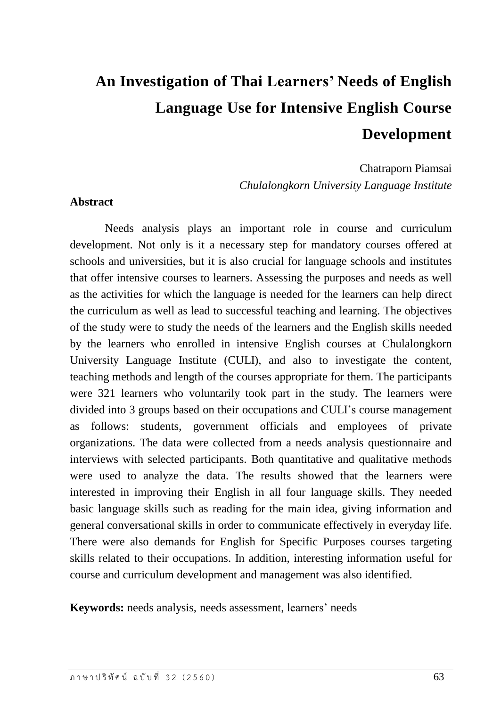# **An Investigation of Thai Learners' Needs of English Language Use for Intensive English Course Development**

Chatraporn Piamsai *Chulalongkorn University Language Institute*

#### **Abstract**

Needs analysis plays an important role in course and curriculum development. Not only is it a necessary step for mandatory courses offered at schools and universities, but it is also crucial for language schools and institutes that offer intensive courses to learners. Assessing the purposes and needs as well as the activities for which the language is needed for the learners can help direct the curriculum as well as lead to successful teaching and learning. The objectives of the study were to study the needs of the learners and the English skills needed by the learners who enrolled in intensive English courses at Chulalongkorn University Language Institute (CULI), and also to investigate the content, teaching methods and length of the courses appropriate for them. The participants were 321 learners who voluntarily took part in the study. The learners were divided into 3 groups based on their occupations and CULI's course management as follows: students, government officials and employees of private organizations. The data were collected from a needs analysis questionnaire and interviews with selected participants. Both quantitative and qualitative methods were used to analyze the data. The results showed that the learners were interested in improving their English in all four language skills. They needed basic language skills such as reading for the main idea, giving information and general conversational skills in order to communicate effectively in everyday life. There were also demands for English for Specific Purposes courses targeting skills related to their occupations. In addition, interesting information useful for course and curriculum development and management was also identified.

**Keywords:** needs analysis, needs assessment, learners' needs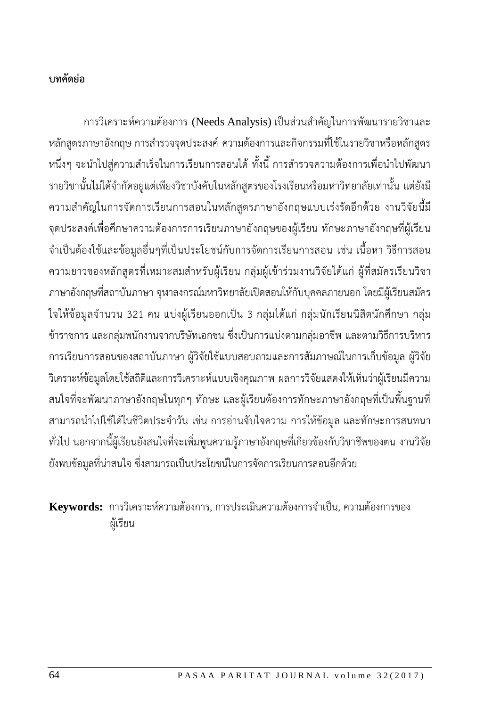# **บทคัดย่อ**

การวิเคราะห์ความต้องการ (Needs Analysis) เป็นส่วนสำคัญในการพัฒนารายวิชาและ หลักสูตรภาษาอังกฤษ การสำรวจจุดประสงค์ ความต้องการและกิจกรรมที่ใช้ในรายวิชาหรือหลักสูตร หนึ่งๆ จะนำไปสู่ความสำเร็จในการเรียนการสอนได้ ทั้งนี้ การสำรวจความต้องการเพื่อนำไปพัฒนา ้ รายวิชานั้นไม่ได้จำกัดอยู่แต่เพียงวิชาบังคับในหลักสูตรของโรงเรียนหรือมหาวิทยาลัยเท่านั้น แต่ยังมี ความส าคัญในการจัดการเรียนการสอนในหลักสูตรภาษาอังกฤษแบบเร่งรัดอีกด้วย งานวิจัยนี้มี จุดประสงค์เพื่อศึกษาความต้องการการเรียนภาษาอังกฤษของผู้เรียน ทักษะภาษาอังกฤษที่ผู้เรียน จ าเป็นต้องใช้และข้อมูลอื่นๆที่เป็นประโยชน์กับการจัดการเรียนการสอน เช่น เนื้อหา วิธีการสอน ความยาวของหลักสูตรที่เหมาะสมสำหรับผู้เรียน กลุ่มผู้เข้าร่วมงานวิจัยได้แก่ ผู้ที่สมัครเรียนวิชา ภาษาอังกฤษที่สถาบันภาษา จุฬาลงกรณ์มหาวิทยาลัยเปิดสอนให้กับบุคคลภายนอก โดยมีผู้เรียนสมัคร ใจให้ข้อมูลจำนวน 321 คน แบ่งผู้เรียนออกเป็น 3 กลุ่มได้แก่ กลุ่มนักเรียนนิสิตนักศึกษา กลุ่ม ข้าราชการ และกลุ่มพนักงานจากบริษัทเอกชน ซึ่งเป็นการแบ่งตามกลุ่มอาชีพ และตามวิธีการบริหาร การเรียนการสอนของสถาบันภาษา ผู้วิจัยใช้แบบสอบถามและการสัมภาษณ์ในการเก็บข้อมูล ผู้วิจัย วิเคราะห์ข้อมูลโดยใช้สถิติและการวิเคราะห์แบบเชิงคุณภาพ ผลการวิจัยแสดงให้เห็นว่าผู้เรียนมีความ สนใจที่จะพัฒนาภาษาอังกฤษในทุกๆ ทักษะ และผู้เรียนต้องการทักษะภาษาอังกฤษที่เป็นพื้นฐานที่ สามารถนำไปใช้ได้ในชีวิตประจำวัน เช่น การอ่านจับใจความ การให้ข้อมูล และทักษะการสนทนา ทั่วไป นอกจากนี้ผู้เรียนยังสนใจที่จะเพิ่มพูนความรู้ภาษาอังกฤษที่เกี่ยวข้องกับวิชาชีพของตน งานวิจัย ยังพบข้อมูลที่น่าสนใจ ซึ่งสามารถเป็นประโยชน์ในการจัดการเรียนการสอนอีกด้วย

**Keywords:** การวิเคราะห์ความต้องการ, การประเมินความต้องการจ าเป็น, ความต้องการของ ผู้เรียน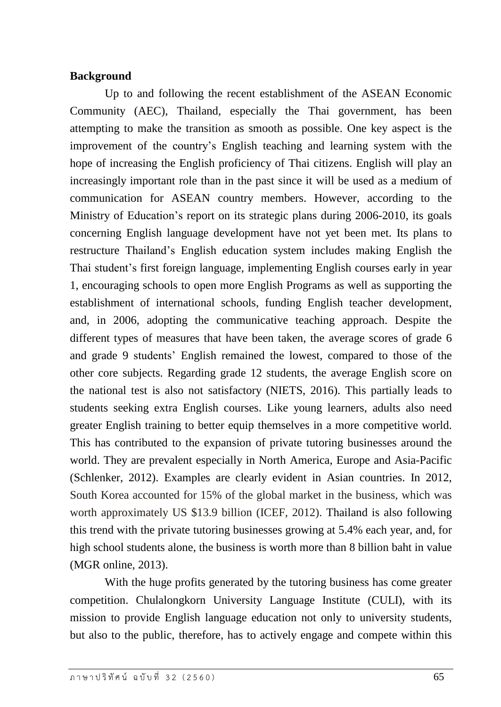# **Background**

Up to and following the recent establishment of the ASEAN Economic Community (AEC), Thailand, especially the Thai government, has been attempting to make the transition as smooth as possible. One key aspect is the improvement of the country's English teaching and learning system with the hope of increasing the English proficiency of Thai citizens. English will play an increasingly important role than in the past since it will be used as a medium of communication for ASEAN country members. However, according to the Ministry of Education's report on its strategic plans during 2006-2010, its goals concerning English language development have not yet been met. Its plans to restructure Thailand's English education system includes making English the Thai student's first foreign language, implementing English courses early in year 1, encouraging schools to open more English Programs as well as supporting the establishment of international schools, funding English teacher development, and, in 2006, adopting the communicative teaching approach. Despite the different types of measures that have been taken, the average scores of grade 6 and grade 9 students' English remained the lowest, compared to those of the other core subjects. Regarding grade 12 students, the average English score on the national test is also not satisfactory (NIETS, 2016). This partially leads to students seeking extra English courses. Like young learners, adults also need greater English training to better equip themselves in a more competitive world. This has contributed to the expansion of private tutoring businesses around the world. They are prevalent especially in North America, Europe and Asia-Pacific (Schlenker, 2012). Examples are clearly evident in Asian countries. In 2012, South Korea accounted for 15% of the global market in the business, which was worth approximately US \$13.9 billion (ICEF, 2012). Thailand is also following this trend with the private tutoring businesses growing at 5.4% each year, and, for high school students alone, the business is worth more than 8 billion baht in value (MGR online, 2013).

With the huge profits generated by the tutoring business has come greater competition. Chulalongkorn University Language Institute (CULI), with its mission to provide English language education not only to university students, but also to the public, therefore, has to actively engage and compete within this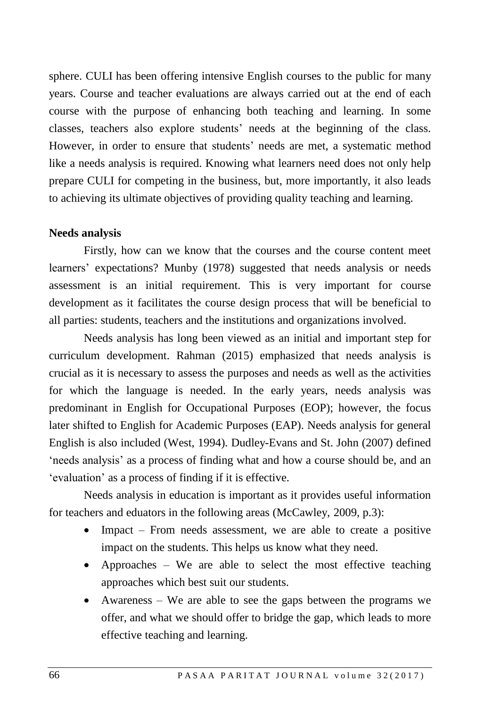sphere. CULI has been offering intensive English courses to the public for many years. Course and teacher evaluations are always carried out at the end of each course with the purpose of enhancing both teaching and learning. In some classes, teachers also explore students' needs at the beginning of the class. However, in order to ensure that students' needs are met, a systematic method like a needs analysis is required. Knowing what learners need does not only help prepare CULI for competing in the business, but, more importantly, it also leads to achieving its ultimate objectives of providing quality teaching and learning.

#### **Needs analysis**

Firstly, how can we know that the courses and the course content meet learners' expectations? Munby (1978) suggested that needs analysis or needs assessment is an initial requirement. This is very important for course development as it facilitates the course design process that will be beneficial to all parties: students, teachers and the institutions and organizations involved.

Needs analysis has long been viewed as an initial and important step for curriculum development. Rahman (2015) emphasized that needs analysis is crucial as it is necessary to assess the purposes and needs as well as the activities for which the language is needed. In the early years, needs analysis was predominant in English for Occupational Purposes (EOP); however, the focus later shifted to English for Academic Purposes (EAP). Needs analysis for general English is also included (West, 1994). Dudley-Evans and St. John (2007) defined 'needs analysis' as a process of finding what and how a course should be, and an 'evaluation' as a process of finding if it is effective.

Needs analysis in education is important as it provides useful information for teachers and eduators in the following areas (McCawley, 2009, p.3):

- Impact From needs assessment, we are able to create a positive impact on the students. This helps us know what they need.
- Approaches We are able to select the most effective teaching approaches which best suit our students.
- Awareness We are able to see the gaps between the programs we offer, and what we should offer to bridge the gap, which leads to more effective teaching and learning.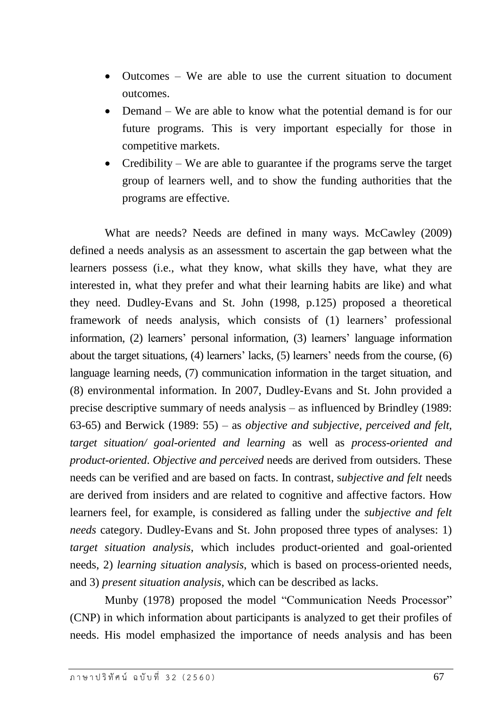- Outcomes We are able to use the current situation to document outcomes.
- Demand We are able to know what the potential demand is for our future programs. This is very important especially for those in competitive markets.
- Credibility We are able to guarantee if the programs serve the target group of learners well, and to show the funding authorities that the programs are effective.

What are needs? Needs are defined in many ways. McCawley (2009) defined a needs analysis as an assessment to ascertain the gap between what the learners possess (i.e., what they know, what skills they have, what they are interested in, what they prefer and what their learning habits are like) and what they need. Dudley-Evans and St. John (1998, p.125) proposed a theoretical framework of needs analysis, which consists of (1) learners' professional information, (2) learners' personal information, (3) learners' language information about the target situations, (4) learners' lacks, (5) learners' needs from the course, (6) language learning needs, (7) communication information in the target situation, and (8) environmental information. In 2007, Dudley-Evans and St. John provided a precise descriptive summary of needs analysis – as influenced by Brindley (1989: 63-65) and Berwick (1989: 55) – as *objective and subjective, perceived and felt, target situation/ goal-oriented and learning* as well as *process-oriented and product-oriented*. *Objective and perceived* needs are derived from outsiders. These needs can be verified and are based on facts. In contrast, s*ubjective and felt* needs are derived from insiders and are related to cognitive and affective factors. How learners feel, for example, is considered as falling under the *subjective and felt needs* category. Dudley-Evans and St. John proposed three types of analyses: 1) *target situation analysis*, which includes product-oriented and goal-oriented needs, 2) *learning situation analysis*, which is based on process-oriented needs, and 3) *present situation analysis*, which can be described as lacks.

Munby (1978) proposed the model "Communication Needs Processor" (CNP) in which information about participants is analyzed to get their profiles of needs. His model emphasized the importance of needs analysis and has been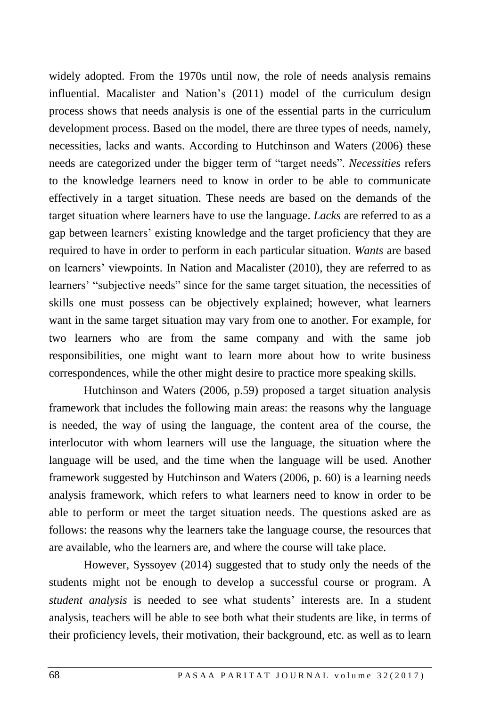widely adopted. From the 1970s until now, the role of needs analysis remains influential. Macalister and Nation's (2011) model of the curriculum design process shows that needs analysis is one of the essential parts in the curriculum development process. Based on the model, there are three types of needs, namely, necessities, lacks and wants. According to Hutchinson and Waters (2006) these needs are categorized under the bigger term of "target needs". *Necessities* refers to the knowledge learners need to know in order to be able to communicate effectively in a target situation. These needs are based on the demands of the target situation where learners have to use the language. *Lacks* are referred to as a gap between learners' existing knowledge and the target proficiency that they are required to have in order to perform in each particular situation. *Wants* are based on learners' viewpoints. In Nation and Macalister (2010), they are referred to as learners' "subjective needs" since for the same target situation, the necessities of skills one must possess can be objectively explained; however, what learners want in the same target situation may vary from one to another. For example, for two learners who are from the same company and with the same job responsibilities, one might want to learn more about how to write business correspondences, while the other might desire to practice more speaking skills.

Hutchinson and Waters (2006, p.59) proposed a target situation analysis framework that includes the following main areas: the reasons why the language is needed, the way of using the language, the content area of the course, the interlocutor with whom learners will use the language, the situation where the language will be used, and the time when the language will be used. Another framework suggested by Hutchinson and Waters (2006, p. 60) is a learning needs analysis framework, which refers to what learners need to know in order to be able to perform or meet the target situation needs. The questions asked are as follows: the reasons why the learners take the language course, the resources that are available, who the learners are, and where the course will take place.

However, Syssoyev (2014) suggested that to study only the needs of the students might not be enough to develop a successful course or program. A *student analysis* is needed to see what students' interests are. In a student analysis, teachers will be able to see both what their students are like, in terms of their proficiency levels, their motivation, their background, etc. as well as to learn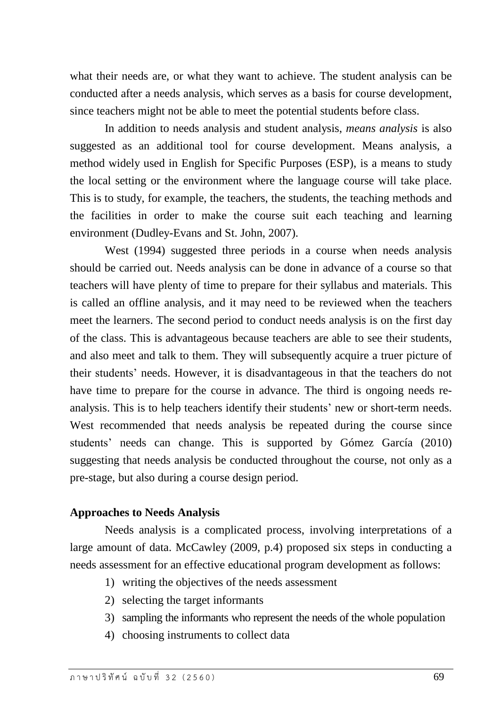what their needs are, or what they want to achieve. The student analysis can be conducted after a needs analysis, which serves as a basis for course development, since teachers might not be able to meet the potential students before class.

In addition to needs analysis and student analysis, *means analysis* is also suggested as an additional tool for course development. Means analysis, a method widely used in English for Specific Purposes (ESP), is a means to study the local setting or the environment where the language course will take place. This is to study, for example, the teachers, the students, the teaching methods and the facilities in order to make the course suit each teaching and learning environment (Dudley-Evans and St. John, 2007).

West (1994) suggested three periods in a course when needs analysis should be carried out. Needs analysis can be done in advance of a course so that teachers will have plenty of time to prepare for their syllabus and materials. This is called an offline analysis, and it may need to be reviewed when the teachers meet the learners. The second period to conduct needs analysis is on the first day of the class. This is advantageous because teachers are able to see their students, and also meet and talk to them. They will subsequently acquire a truer picture of their students' needs. However, it is disadvantageous in that the teachers do not have time to prepare for the course in advance. The third is ongoing needs reanalysis. This is to help teachers identify their students' new or short-term needs. West recommended that needs analysis be repeated during the course since students' needs can change. This is supported by Gómez García (2010) suggesting that needs analysis be conducted throughout the course, not only as a pre-stage, but also during a course design period.

# **Approaches to Needs Analysis**

Needs analysis is a complicated process, involving interpretations of a large amount of data. McCawley (2009, p.4) proposed six steps in conducting a needs assessment for an effective educational program development as follows:

- 1) writing the objectives of the needs assessment
- 2) selecting the target informants
- 3) sampling the informants who represent the needs of the whole population
- 4) choosing instruments to collect data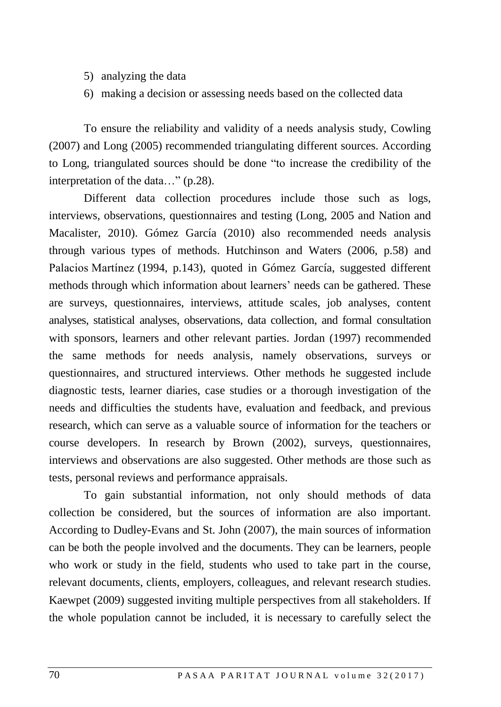- 5) analyzing the data
- 6) making a decision or assessing needs based on the collected data

To ensure the reliability and validity of a needs analysis study, Cowling (2007) and Long (2005) recommended triangulating different sources. According to Long, triangulated sources should be done "to increase the credibility of the interpretation of the data…" (p.28).

Different data collection procedures include those such as logs, interviews, observations, questionnaires and testing (Long, 2005 and Nation and Macalister, 2010). Gómez García (2010) also recommended needs analysis through various types of methods. Hutchinson and Waters (2006, p.58) and Palacios Martínez (1994, p.143), quoted in Gómez García, suggested different methods through which information about learners' needs can be gathered. These are surveys, questionnaires, interviews, attitude scales, job analyses, content analyses, statistical analyses, observations, data collection, and formal consultation with sponsors, learners and other relevant parties. Jordan (1997) recommended the same methods for needs analysis, namely observations, surveys or questionnaires, and structured interviews. Other methods he suggested include diagnostic tests, learner diaries, case studies or a thorough investigation of the needs and difficulties the students have, evaluation and feedback, and previous research, which can serve as a valuable source of information for the teachers or course developers. In research by Brown (2002), surveys, questionnaires, interviews and observations are also suggested. Other methods are those such as tests, personal reviews and performance appraisals.

To gain substantial information, not only should methods of data collection be considered, but the sources of information are also important. According to Dudley-Evans and St. John (2007), the main sources of information can be both the people involved and the documents. They can be learners, people who work or study in the field, students who used to take part in the course, relevant documents, clients, employers, colleagues, and relevant research studies. Kaewpet (2009) suggested inviting multiple perspectives from all stakeholders. If the whole population cannot be included, it is necessary to carefully select the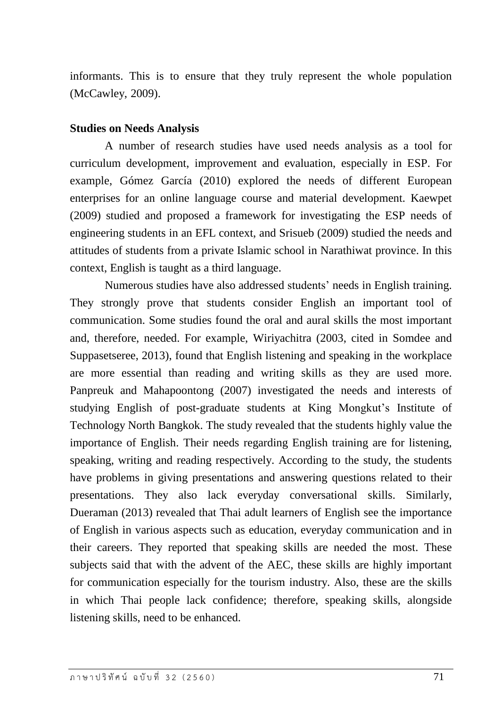informants. This is to ensure that they truly represent the whole population (McCawley, 2009).

#### **Studies on Needs Analysis**

A number of research studies have used needs analysis as a tool for curriculum development, improvement and evaluation, especially in ESP. For example, Gómez García (2010) explored the needs of different European enterprises for an online language course and material development. Kaewpet (2009) studied and proposed a framework for investigating the ESP needs of engineering students in an EFL context, and Srisueb (2009) studied the needs and attitudes of students from a private Islamic school in Narathiwat province. In this context, English is taught as a third language.

Numerous studies have also addressed students' needs in English training. They strongly prove that students consider English an important tool of communication. Some studies found the oral and aural skills the most important and, therefore, needed. For example, Wiriyachitra (2003, cited in Somdee and Suppasetseree, 2013), found that English listening and speaking in the workplace are more essential than reading and writing skills as they are used more. Panpreuk and Mahapoontong (2007) investigated the needs and interests of studying English of post-graduate students at King Mongkut's Institute of Technology North Bangkok. The study revealed that the students highly value the importance of English. Their needs regarding English training are for listening, speaking, writing and reading respectively. According to the study, the students have problems in giving presentations and answering questions related to their presentations. They also lack everyday conversational skills. Similarly, Dueraman (2013) revealed that Thai adult learners of English see the importance of English in various aspects such as education, everyday communication and in their careers. They reported that speaking skills are needed the most. These subjects said that with the advent of the AEC, these skills are highly important for communication especially for the tourism industry. Also, these are the skills in which Thai people lack confidence; therefore, speaking skills, alongside listening skills, need to be enhanced.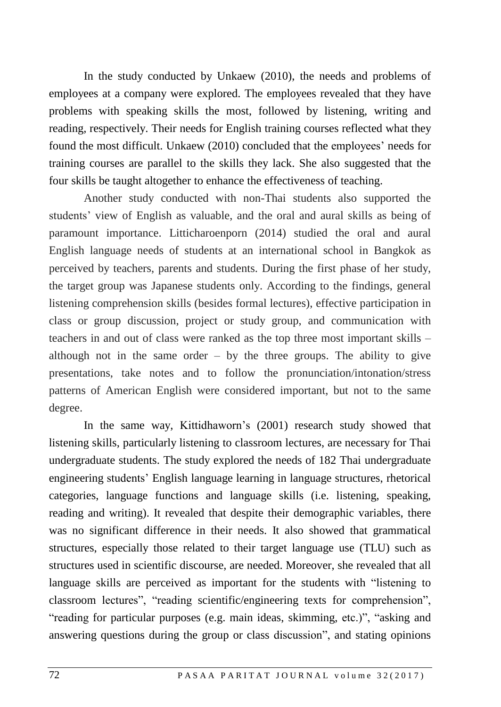In the study conducted by Unkaew (2010), the needs and problems of employees at a company were explored. The employees revealed that they have problems with speaking skills the most, followed by listening, writing and reading, respectively. Their needs for English training courses reflected what they found the most difficult. Unkaew (2010) concluded that the employees' needs for training courses are parallel to the skills they lack. She also suggested that the four skills be taught altogether to enhance the effectiveness of teaching.

Another study conducted with non-Thai students also supported the students' view of English as valuable, and the oral and aural skills as being of paramount importance. Litticharoenporn (2014) studied the oral and aural English language needs of students at an international school in Bangkok as perceived by teachers, parents and students. During the first phase of her study, the target group was Japanese students only. According to the findings, general listening comprehension skills (besides formal lectures), effective participation in class or group discussion, project or study group, and communication with teachers in and out of class were ranked as the top three most important skills – although not in the same order  $-$  by the three groups. The ability to give presentations, take notes and to follow the pronunciation/intonation/stress patterns of American English were considered important, but not to the same degree.

In the same way, Kittidhaworn's (2001) research study showed that listening skills, particularly listening to classroom lectures, are necessary for Thai undergraduate students. The study explored the needs of 182 Thai undergraduate engineering students' English language learning in language structures, rhetorical categories, language functions and language skills (i.e. listening, speaking, reading and writing). It revealed that despite their demographic variables, there was no significant difference in their needs. It also showed that grammatical structures, especially those related to their target language use (TLU) such as structures used in scientific discourse, are needed. Moreover, she revealed that all language skills are perceived as important for the students with "listening to classroom lectures", "reading scientific/engineering texts for comprehension", "reading for particular purposes (e.g. main ideas, skimming, etc.)", "asking and answering questions during the group or class discussion", and stating opinions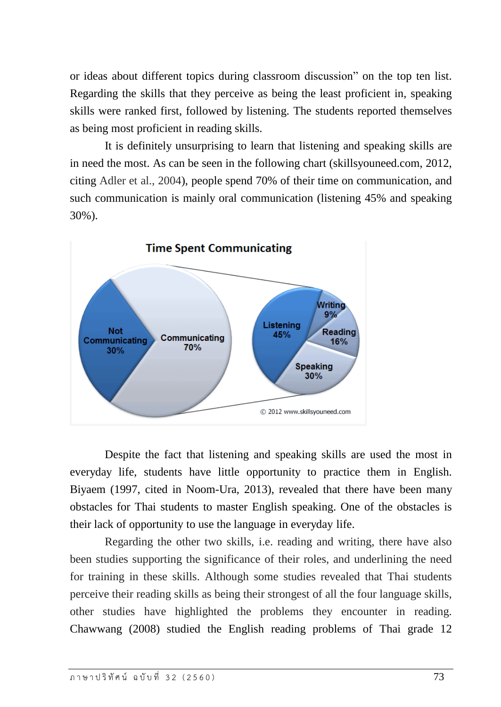or ideas about different topics during classroom discussion" on the top ten list. Regarding the skills that they perceive as being the least proficient in, speaking skills were ranked first, followed by listening. The students reported themselves as being most proficient in reading skills.

It is definitely unsurprising to learn that listening and speaking skills are in need the most. As can be seen in the following chart (skillsyouneed.com, 2012, citing Adler et al., 2004), people spend 70% of their time on communication, and such communication is mainly oral communication (listening 45% and speaking 30%).



Despite the fact that listening and speaking skills are used the most in everyday life, students have little opportunity to practice them in English. Biyaem (1997, cited in Noom-Ura, 2013), revealed that there have been many obstacles for Thai students to master English speaking. One of the obstacles is their lack of opportunity to use the language in everyday life.

Regarding the other two skills, i.e. reading and writing, there have also been studies supporting the significance of their roles, and underlining the need for training in these skills. Although some studies revealed that Thai students perceive their reading skills as being their strongest of all the four language skills, other studies have highlighted the problems they encounter in reading. Chawwang (2008) studied the English reading problems of Thai grade 12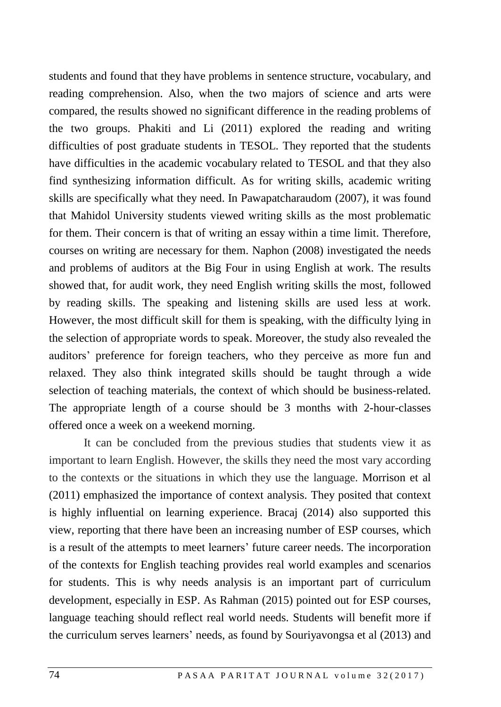students and found that they have problems in sentence structure, vocabulary, and reading comprehension. Also, when the two majors of science and arts were compared, the results showed no significant difference in the reading problems of the two groups. Phakiti and Li (2011) explored the reading and writing difficulties of post graduate students in TESOL. They reported that the students have difficulties in the academic vocabulary related to TESOL and that they also find synthesizing information difficult. As for writing skills, academic writing skills are specifically what they need. In Pawapatcharaudom (2007), it was found that Mahidol University students viewed writing skills as the most problematic for them. Their concern is that of writing an essay within a time limit. Therefore, courses on writing are necessary for them. Naphon (2008) investigated the needs and problems of auditors at the Big Four in using English at work. The results showed that, for audit work, they need English writing skills the most, followed by reading skills. The speaking and listening skills are used less at work. However, the most difficult skill for them is speaking, with the difficulty lying in the selection of appropriate words to speak. Moreover, the study also revealed the auditors' preference for foreign teachers, who they perceive as more fun and relaxed. They also think integrated skills should be taught through a wide selection of teaching materials, the context of which should be business-related. The appropriate length of a course should be 3 months with 2-hour-classes offered once a week on a weekend morning.

It can be concluded from the previous studies that students view it as important to learn English. However, the skills they need the most vary according to the contexts or the situations in which they use the language. Morrison et al (2011) emphasized the importance of context analysis. They posited that context is highly influential on learning experience. Bracaj (2014) also supported this view, reporting that there have been an increasing number of ESP courses, which is a result of the attempts to meet learners' future career needs. The incorporation of the contexts for English teaching provides real world examples and scenarios for students. This is why needs analysis is an important part of curriculum development, especially in ESP. As Rahman (2015) pointed out for ESP courses, language teaching should reflect real world needs. Students will benefit more if the curriculum serves learners' needs, as found by Souriyavongsa et al (2013) and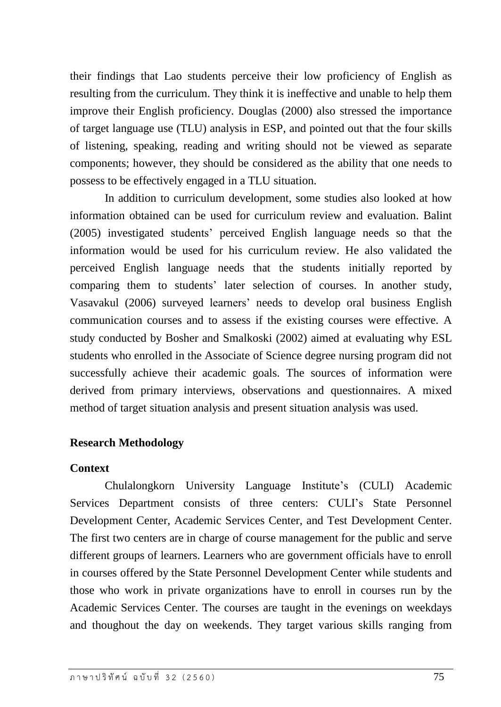their findings that Lao students perceive their low proficiency of English as resulting from the curriculum. They think it is ineffective and unable to help them improve their English proficiency. Douglas (2000) also stressed the importance of target language use (TLU) analysis in ESP, and pointed out that the four skills of listening, speaking, reading and writing should not be viewed as separate components; however, they should be considered as the ability that one needs to possess to be effectively engaged in a TLU situation.

In addition to curriculum development, some studies also looked at how information obtained can be used for curriculum review and evaluation. Balint (2005) investigated students' perceived English language needs so that the information would be used for his curriculum review. He also validated the perceived English language needs that the students initially reported by comparing them to students' later selection of courses. In another study, Vasavakul (2006) surveyed learners' needs to develop oral business English communication courses and to assess if the existing courses were effective. A study conducted by Bosher and Smalkoski (2002) aimed at evaluating why ESL students who enrolled in the Associate of Science degree nursing program did not successfully achieve their academic goals. The sources of information were derived from primary interviews, observations and questionnaires. A mixed method of target situation analysis and present situation analysis was used.

# **Research Methodology**

# **Context**

Chulalongkorn University Language Institute's (CULI) Academic Services Department consists of three centers: CULI's State Personnel Development Center, Academic Services Center, and Test Development Center. The first two centers are in charge of course management for the public and serve different groups of learners. Learners who are government officials have to enroll in courses offered by the State Personnel Development Center while students and those who work in private organizations have to enroll in courses run by the Academic Services Center. The courses are taught in the evenings on weekdays and thoughout the day on weekends. They target various skills ranging from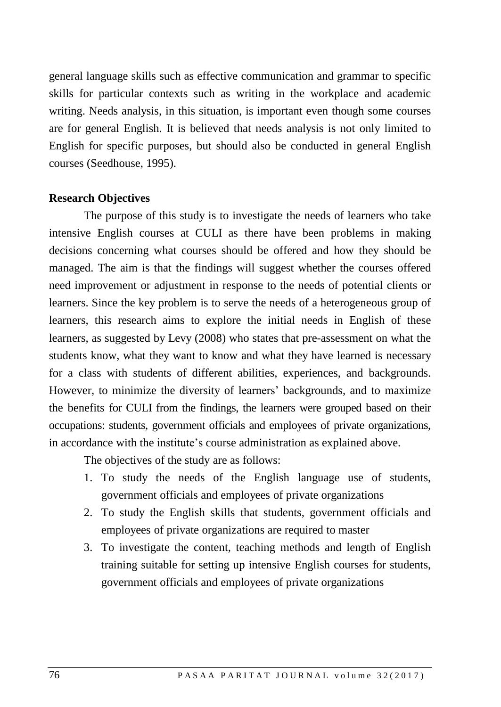general language skills such as effective communication and grammar to specific skills for particular contexts such as writing in the workplace and academic writing. Needs analysis, in this situation, is important even though some courses are for general English. It is believed that needs analysis is not only limited to English for specific purposes, but should also be conducted in general English courses (Seedhouse, 1995).

#### **Research Objectives**

The purpose of this study is to investigate the needs of learners who take intensive English courses at CULI as there have been problems in making decisions concerning what courses should be offered and how they should be managed. The aim is that the findings will suggest whether the courses offered need improvement or adjustment in response to the needs of potential clients or learners. Since the key problem is to serve the needs of a heterogeneous group of learners, this research aims to explore the initial needs in English of these learners, as suggested by Levy (2008) who states that pre-assessment on what the students know, what they want to know and what they have learned is necessary for a class with students of different abilities, experiences, and backgrounds. However, to minimize the diversity of learners' backgrounds, and to maximize the benefits for CULI from the findings, the learners were grouped based on their occupations: students, government officials and employees of private organizations, in accordance with the institute's course administration as explained above.

The objectives of the study are as follows:

- 1. To study the needs of the English language use of students, government officials and employees of private organizations
- 2. To study the English skills that students, government officials and employees of private organizations are required to master
- 3. To investigate the content, teaching methods and length of English training suitable for setting up intensive English courses for students, government officials and employees of private organizations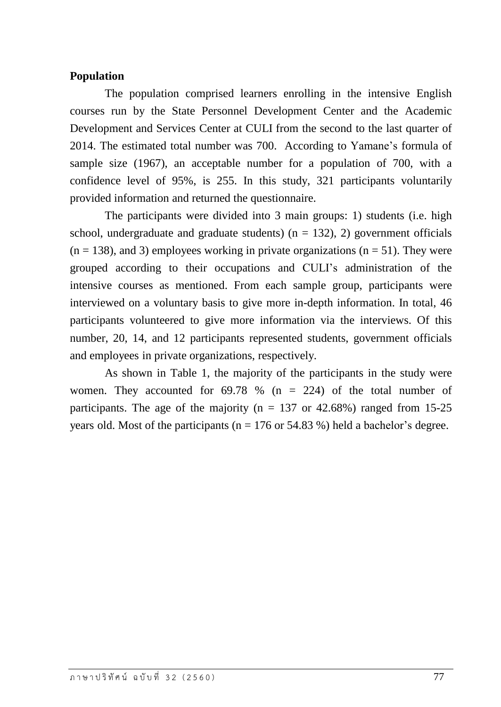# **Population**

The population comprised learners enrolling in the intensive English courses run by the State Personnel Development Center and the Academic Development and Services Center at CULI from the second to the last quarter of 2014. The estimated total number was 700. According to Yamane's formula of sample size (1967), an acceptable number for a population of 700, with a confidence level of 95%, is 255. In this study, 321 participants voluntarily provided information and returned the questionnaire.

The participants were divided into 3 main groups: 1) students (i.e. high school, undergraduate and graduate students) ( $n = 132$ ), 2) government officials  $(n = 138)$ , and 3) employees working in private organizations  $(n = 51)$ . They were grouped according to their occupations and CULI's administration of the intensive courses as mentioned. From each sample group, participants were interviewed on a voluntary basis to give more in-depth information. In total, 46 participants volunteered to give more information via the interviews. Of this number, 20, 14, and 12 participants represented students, government officials and employees in private organizations, respectively.

As shown in Table 1, the majority of the participants in the study were women. They accounted for  $69.78$  % (n = 224) of the total number of participants. The age of the majority ( $n = 137$  or 42.68%) ranged from 15-25 years old. Most of the participants ( $n = 176$  or 54.83 %) held a bachelor's degree.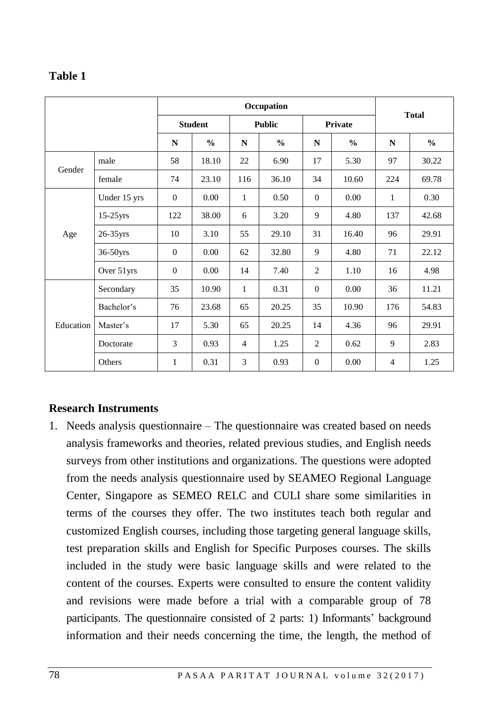# **Table 1**

|           |              |                |               |                | Occupation    |              |               |              |               |
|-----------|--------------|----------------|---------------|----------------|---------------|--------------|---------------|--------------|---------------|
|           |              | <b>Student</b> |               | <b>Public</b>  |               | Private      |               | <b>Total</b> |               |
|           |              | $\mathbf N$    | $\frac{0}{0}$ | N              | $\frac{0}{0}$ | $\mathbf N$  | $\frac{0}{0}$ | N            | $\frac{0}{0}$ |
| Gender    | male         | 58             | 18.10         | 22             | 6.90          | 17           | 5.30          | 97           | 30.22         |
|           | female       | 74             | 23.10         | 116            | 36.10         | 34           | 10.60         | 224          | 69.78         |
|           | Under 15 yrs | $\mathbf{0}$   | 0.00          | 1              | 0.50          | $\Omega$     | 0.00          | $\mathbf{1}$ | 0.30          |
|           | $15-25$ yrs  | 122            | 38.00         | 6              | 3.20          | 9            | 4.80          | 137          | 42.68         |
| Age       | $26-35$ yrs  | 10             | 3.10          | 55             | 29.10         | 31           | 16.40         | 96           | 29.91         |
|           | 36-50yrs     | $\mathbf{0}$   | 0.00          | 62             | 32.80         | 9            | 4.80          | 71           | 22.12         |
|           | Over 51yrs   | $\mathbf{0}$   | 0.00          | 14             | 7.40          | 2            | 1.10          | 16           | 4.98          |
|           | Secondary    | 35             | 10.90         | $\mathbf{1}$   | 0.31          | $\mathbf{0}$ | 0.00          | 36           | 11.21         |
|           | Bachelor's   | 76             | 23.68         | 65             | 20.25         | 35           | 10.90         | 176          | 54.83         |
| Education | Master's     | 17             | 5.30          | 65             | 20.25         | 14           | 4.36          | 96           | 29.91         |
|           | Doctorate    | 3              | 0.93          | $\overline{4}$ | 1.25          | 2            | 0.62          | 9            | 2.83          |
|           | Others       | 1              | 0.31          | 3              | 0.93          | $\mathbf{0}$ | 0.00          | 4            | 1.25          |

# **Research Instruments**

1. Needs analysis questionnaire – The questionnaire was created based on needs analysis frameworks and theories, related previous studies, and English needs surveys from other institutions and organizations. The questions were adopted from the needs analysis questionnaire used by SEAMEO Regional Language Center, Singapore as SEMEO RELC and CULI share some similarities in terms of the courses they offer. The two institutes teach both regular and customized English courses, including those targeting general language skills, test preparation skills and English for Specific Purposes courses. The skills included in the study were basic language skills and were related to the content of the courses. Experts were consulted to ensure the content validity and revisions were made before a trial with a comparable group of 78 participants. The questionnaire consisted of 2 parts: 1) Informants' background information and their needs concerning the time, the length, the method of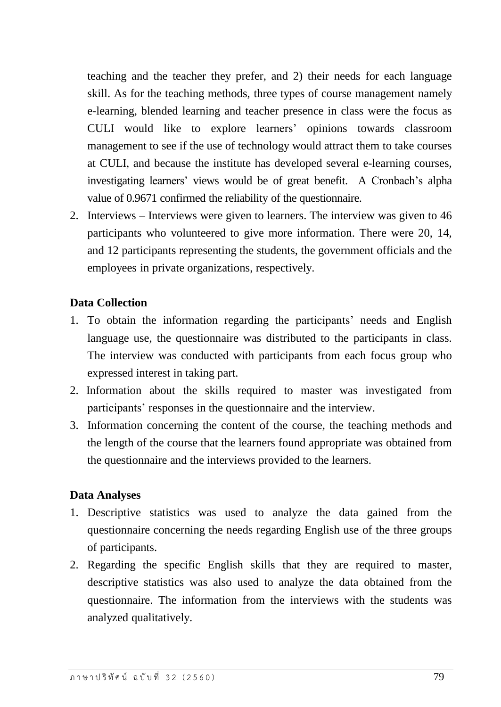teaching and the teacher they prefer, and 2) their needs for each language skill. As for the teaching methods, three types of course management namely e-learning, blended learning and teacher presence in class were the focus as CULI would like to explore learners' opinions towards classroom management to see if the use of technology would attract them to take courses at CULI, and because the institute has developed several e-learning courses, investigating learners' views would be of great benefit. A Cronbach's alpha value of 0.9671 confirmed the reliability of the questionnaire.

2. Interviews – Interviews were given to learners. The interview was given to 46 participants who volunteered to give more information. There were 20, 14, and 12 participants representing the students, the government officials and the employees in private organizations, respectively.

# **Data Collection**

- 1. To obtain the information regarding the participants' needs and English language use, the questionnaire was distributed to the participants in class. The interview was conducted with participants from each focus group who expressed interest in taking part.
- 2. Information about the skills required to master was investigated from participants' responses in the questionnaire and the interview.
- 3. Information concerning the content of the course, the teaching methods and the length of the course that the learners found appropriate was obtained from the questionnaire and the interviews provided to the learners.

# **Data Analyses**

- 1. Descriptive statistics was used to analyze the data gained from the questionnaire concerning the needs regarding English use of the three groups of participants.
- 2. Regarding the specific English skills that they are required to master, descriptive statistics was also used to analyze the data obtained from the questionnaire. The information from the interviews with the students was analyzed qualitatively.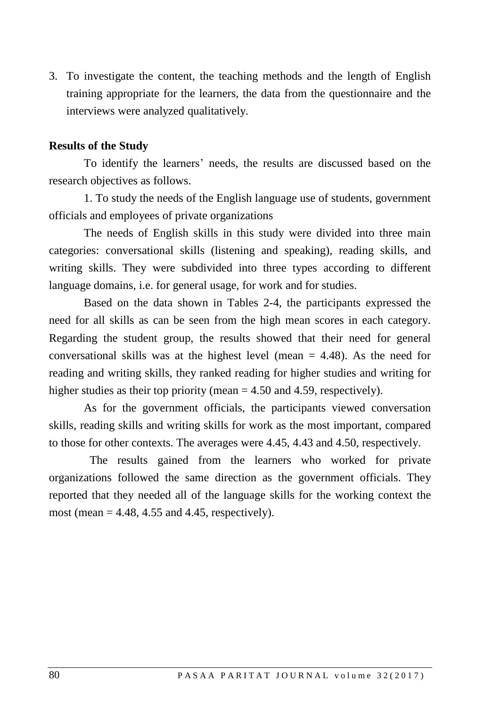3. To investigate the content, the teaching methods and the length of English training appropriate for the learners, the data from the questionnaire and the interviews were analyzed qualitatively.

#### **Results of the Study**

To identify the learners' needs, the results are discussed based on the research objectives as follows.

1. To study the needs of the English language use of students, government officials and employees of private organizations

The needs of English skills in this study were divided into three main categories: conversational skills (listening and speaking), reading skills, and writing skills. They were subdivided into three types according to different language domains, i.e. for general usage, for work and for studies.

Based on the data shown in Tables 2-4, the participants expressed the need for all skills as can be seen from the high mean scores in each category. Regarding the student group, the results showed that their need for general conversational skills was at the highest level (mean  $= 4.48$ ). As the need for reading and writing skills, they ranked reading for higher studies and writing for higher studies as their top priority (mean = 4.50 and 4.59, respectively).

As for the government officials, the participants viewed conversation skills, reading skills and writing skills for work as the most important, compared to those for other contexts. The averages were 4.45, 4.43 and 4.50, respectively.

 The results gained from the learners who worked for private organizations followed the same direction as the government officials. They reported that they needed all of the language skills for the working context the most (mean  $= 4.48$ , 4.55 and 4.45, respectively).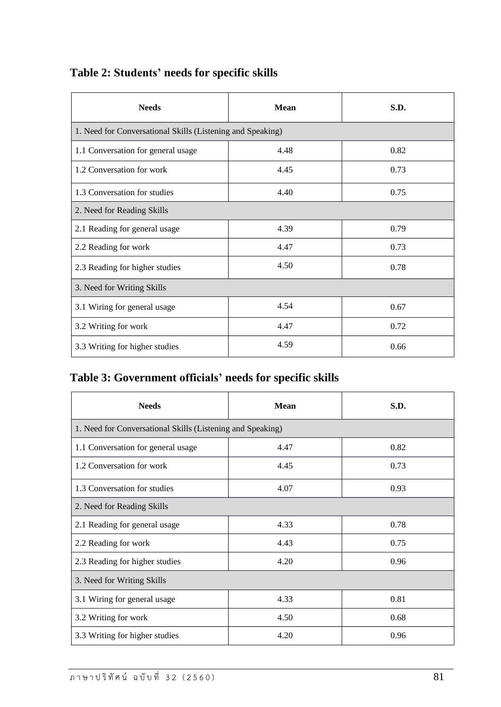| <b>Needs</b>                                               | Mean | S.D. |  |  |  |  |  |
|------------------------------------------------------------|------|------|--|--|--|--|--|
| 1. Need for Conversational Skills (Listening and Speaking) |      |      |  |  |  |  |  |
| 1.1 Conversation for general usage                         | 4.48 | 0.82 |  |  |  |  |  |
| 1.2 Conversation for work                                  | 4.45 | 0.73 |  |  |  |  |  |
| 1.3 Conversation for studies                               | 4.40 | 0.75 |  |  |  |  |  |
| 2. Need for Reading Skills                                 |      |      |  |  |  |  |  |
| 2.1 Reading for general usage                              | 4.39 | 0.79 |  |  |  |  |  |
| 2.2 Reading for work                                       | 4.47 | 0.73 |  |  |  |  |  |
| 2.3 Reading for higher studies                             | 4.50 | 0.78 |  |  |  |  |  |
| 3. Need for Writing Skills                                 |      |      |  |  |  |  |  |
| 3.1 Wiring for general usage                               | 4.54 | 0.67 |  |  |  |  |  |
| 3.2 Writing for work                                       | 4.47 | 0.72 |  |  |  |  |  |
| 3.3 Writing for higher studies                             | 4.59 | 0.66 |  |  |  |  |  |

# **Table 2: Students' needs for specific skills**

# **Table 3: Government officials' needs for specific skills**

| <b>Needs</b>                                               | Mean | S.D. |  |  |  |  |  |
|------------------------------------------------------------|------|------|--|--|--|--|--|
| 1. Need for Conversational Skills (Listening and Speaking) |      |      |  |  |  |  |  |
| 1.1 Conversation for general usage                         | 4.47 | 0.82 |  |  |  |  |  |
| 1.2 Conversation for work                                  | 4.45 | 0.73 |  |  |  |  |  |
| 1.3 Conversation for studies                               | 4.07 | 0.93 |  |  |  |  |  |
| 2. Need for Reading Skills                                 |      |      |  |  |  |  |  |
| 2.1 Reading for general usage                              | 4.33 | 0.78 |  |  |  |  |  |
| 2.2 Reading for work                                       | 4.43 | 0.75 |  |  |  |  |  |
| 2.3 Reading for higher studies                             | 4.20 | 0.96 |  |  |  |  |  |
| 3. Need for Writing Skills                                 |      |      |  |  |  |  |  |
| 3.1 Wiring for general usage                               | 4.33 | 0.81 |  |  |  |  |  |
| 3.2 Writing for work                                       | 4.50 | 0.68 |  |  |  |  |  |
| 3.3 Writing for higher studies                             | 4.20 | 0.96 |  |  |  |  |  |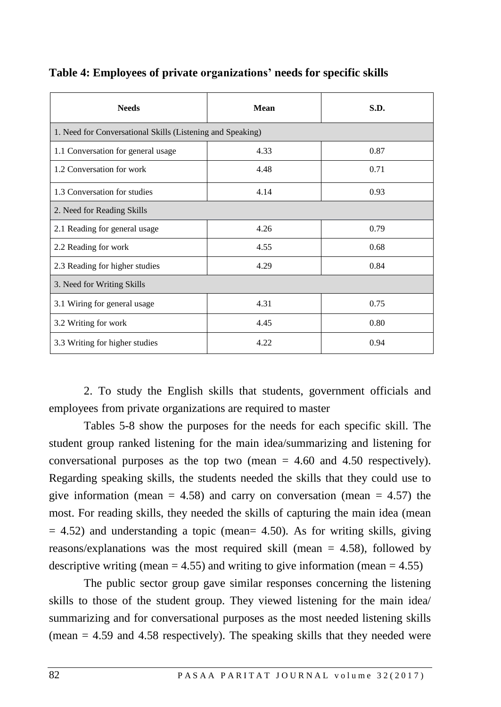| <b>Needs</b>                                               | <b>Mean</b> | S.D. |  |  |  |  |  |
|------------------------------------------------------------|-------------|------|--|--|--|--|--|
| 1. Need for Conversational Skills (Listening and Speaking) |             |      |  |  |  |  |  |
| 1.1 Conversation for general usage                         | 4.33        | 0.87 |  |  |  |  |  |
| 1.2 Conversation for work                                  | 4.48        | 0.71 |  |  |  |  |  |
| 1.3 Conversation for studies                               | 4.14        | 0.93 |  |  |  |  |  |
| 2. Need for Reading Skills                                 |             |      |  |  |  |  |  |
| 2.1 Reading for general usage                              | 4.26        | 0.79 |  |  |  |  |  |
| 2.2 Reading for work                                       | 4.55        | 0.68 |  |  |  |  |  |
| 2.3 Reading for higher studies                             | 4.29        | 0.84 |  |  |  |  |  |
| 3. Need for Writing Skills                                 |             |      |  |  |  |  |  |
| 3.1 Wiring for general usage                               | 4.31        | 0.75 |  |  |  |  |  |
| 3.2 Writing for work                                       | 4.45        | 0.80 |  |  |  |  |  |
| 3.3 Writing for higher studies                             | 4.22        | 0.94 |  |  |  |  |  |

# **Table 4: Employees of private organizations' needs for specific skills**

2. To study the English skills that students, government officials and employees from private organizations are required to master

Tables 5-8 show the purposes for the needs for each specific skill. The student group ranked listening for the main idea/summarizing and listening for conversational purposes as the top two (mean = 4.60 and 4.50 respectively). Regarding speaking skills, the students needed the skills that they could use to give information (mean  $= 4.58$ ) and carry on conversation (mean  $= 4.57$ ) the most. For reading skills, they needed the skills of capturing the main idea (mean  $= 4.52$ ) and understanding a topic (mean= 4.50). As for writing skills, giving reasons/explanations was the most required skill (mean = 4.58), followed by descriptive writing (mean  $= 4.55$ ) and writing to give information (mean  $= 4.55$ )

The public sector group gave similar responses concerning the listening skills to those of the student group. They viewed listening for the main idea/ summarizing and for conversational purposes as the most needed listening skills (mean  $= 4.59$  and 4.58 respectively). The speaking skills that they needed were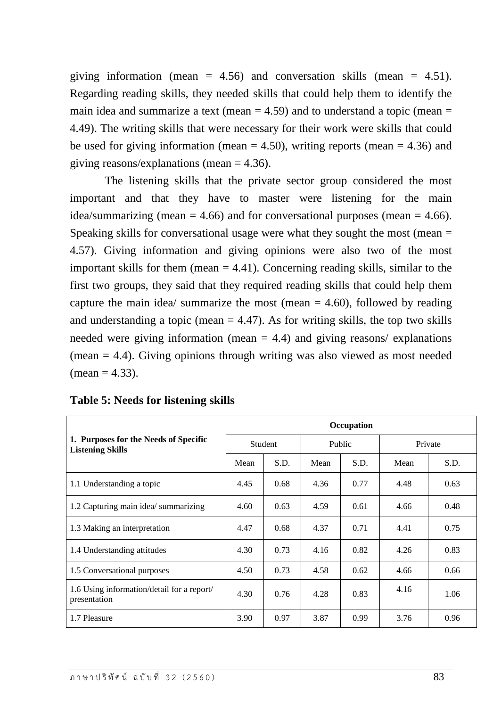giving information (mean  $= 4.56$ ) and conversation skills (mean  $= 4.51$ ). Regarding reading skills, they needed skills that could help them to identify the main idea and summarize a text (mean  $=$  4.59) and to understand a topic (mean  $=$ 4.49). The writing skills that were necessary for their work were skills that could be used for giving information (mean  $= 4.50$ ), writing reports (mean  $= 4.36$ ) and giving reasons/explanations (mean  $= 4.36$ ).

The listening skills that the private sector group considered the most important and that they have to master were listening for the main idea/summarizing (mean  $= 4.66$ ) and for conversational purposes (mean  $= 4.66$ ). Speaking skills for conversational usage were what they sought the most (mean = 4.57). Giving information and giving opinions were also two of the most important skills for them (mean  $= 4.41$ ). Concerning reading skills, similar to the first two groups, they said that they required reading skills that could help them capture the main idea/ summarize the most (mean  $=$  4.60), followed by reading and understanding a topic (mean  $= 4.47$ ). As for writing skills, the top two skills needed were giving information (mean  $= 4.4$ ) and giving reasons/ explanations (mean = 4.4). Giving opinions through writing was also viewed as most needed  $mean = 4.33$ ).

 $\top$ 

|                                                                  | Occupation |      |        |      |         |      |  |  |
|------------------------------------------------------------------|------------|------|--------|------|---------|------|--|--|
| 1. Purposes for the Needs of Specific<br><b>Listening Skills</b> | Student    |      | Public |      | Private |      |  |  |
|                                                                  | Mean       | S.D. | Mean   | S.D. | Mean    | S.D. |  |  |
| 1.1 Understanding a topic                                        | 4.45       | 0.68 | 4.36   | 0.77 | 4.48    | 0.63 |  |  |
| 1.2 Capturing main idea/summarizing                              | 4.60       | 0.63 | 4.59   | 0.61 | 4.66    | 0.48 |  |  |
| 1.3 Making an interpretation                                     | 4.47       | 0.68 | 4.37   | 0.71 | 4.41    | 0.75 |  |  |
| 1.4 Understanding attitudes                                      | 4.30       | 0.73 | 4.16   | 0.82 | 4.26    | 0.83 |  |  |
| 1.5 Conversational purposes                                      | 4.50       | 0.73 | 4.58   | 0.62 | 4.66    | 0.66 |  |  |
| 1.6 Using information/detail for a report/<br>presentation       | 4.30       | 0.76 | 4.28   | 0.83 | 4.16    | 1.06 |  |  |
| 1.7 Pleasure                                                     | 3.90       | 0.97 | 3.87   | 0.99 | 3.76    | 0.96 |  |  |

#### **Table 5: Needs for listening skills**

 $\overline{\Gamma}$ 

 $\overline{\phantom{a}}$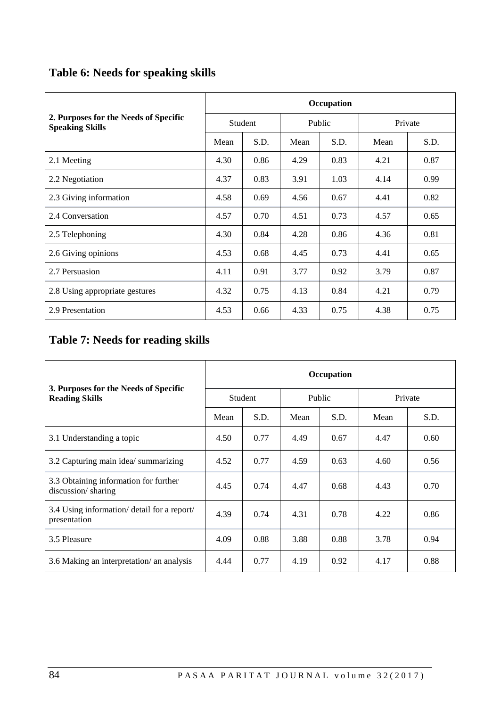# **Table 6: Needs for speaking skills**

|                                                                 | Occupation |      |        |      |         |      |  |  |
|-----------------------------------------------------------------|------------|------|--------|------|---------|------|--|--|
| 2. Purposes for the Needs of Specific<br><b>Speaking Skills</b> | Student    |      | Public |      | Private |      |  |  |
|                                                                 | Mean       | S.D. | Mean   | S.D. | Mean    | S.D. |  |  |
| 2.1 Meeting                                                     | 4.30       | 0.86 | 4.29   | 0.83 | 4.21    | 0.87 |  |  |
| 2.2 Negotiation                                                 | 4.37       | 0.83 | 3.91   | 1.03 | 4.14    | 0.99 |  |  |
| 2.3 Giving information                                          | 4.58       | 0.69 | 4.56   | 0.67 | 4.41    | 0.82 |  |  |
| 2.4 Conversation                                                | 4.57       | 0.70 | 4.51   | 0.73 | 4.57    | 0.65 |  |  |
| 2.5 Telephoning                                                 | 4.30       | 0.84 | 4.28   | 0.86 | 4.36    | 0.81 |  |  |
| 2.6 Giving opinions                                             | 4.53       | 0.68 | 4.45   | 0.73 | 4.41    | 0.65 |  |  |
| 2.7 Persuasion                                                  | 4.11       | 0.91 | 3.77   | 0.92 | 3.79    | 0.87 |  |  |
| 2.8 Using appropriate gestures                                  | 4.32       | 0.75 | 4.13   | 0.84 | 4.21    | 0.79 |  |  |
| 2.9 Presentation                                                | 4.53       | 0.66 | 4.33   | 0.75 | 4.38    | 0.75 |  |  |

# **Table 7: Needs for reading skills**

|                                                                | Occupation |      |        |      |         |      |  |
|----------------------------------------------------------------|------------|------|--------|------|---------|------|--|
| 3. Purposes for the Needs of Specific<br><b>Reading Skills</b> | Student    |      | Public |      | Private |      |  |
|                                                                | Mean       | S.D. | Mean   | S.D. | Mean    | S.D. |  |
| 3.1 Understanding a topic                                      | 4.50       | 0.77 | 4.49   | 0.67 | 4.47    | 0.60 |  |
| 3.2 Capturing main idea/ summarizing                           | 4.52       | 0.77 | 4.59   | 0.63 | 4.60    | 0.56 |  |
| 3.3 Obtaining information for further<br>discussion/sharing    | 4.45       | 0.74 | 4.47   | 0.68 | 4.43    | 0.70 |  |
| 3.4 Using information/ detail for a report/<br>presentation    | 4.39       | 0.74 | 4.31   | 0.78 | 4.22    | 0.86 |  |
| 3.5 Pleasure                                                   | 4.09       | 0.88 | 3.88   | 0.88 | 3.78    | 0.94 |  |
| 3.6 Making an interpretation/ an analysis                      | 4.44       | 0.77 | 4.19   | 0.92 | 4.17    | 0.88 |  |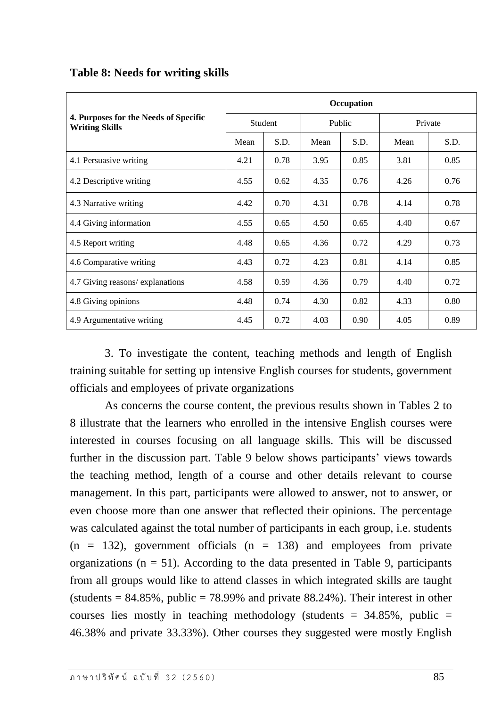|                                                                | Occupation |      |        |      |         |      |  |  |
|----------------------------------------------------------------|------------|------|--------|------|---------|------|--|--|
| 4. Purposes for the Needs of Specific<br><b>Writing Skills</b> | Student    |      | Public |      | Private |      |  |  |
|                                                                | Mean       | S.D. | Mean   | S.D. | Mean    | S.D. |  |  |
| 4.1 Persuasive writing                                         | 4.21       | 0.78 | 3.95   | 0.85 | 3.81    | 0.85 |  |  |
| 4.2 Descriptive writing                                        | 4.55       | 0.62 | 4.35   | 0.76 | 4.26    | 0.76 |  |  |
| 4.3 Narrative writing                                          | 4.42       | 0.70 | 4.31   | 0.78 | 4.14    | 0.78 |  |  |
| 4.4 Giving information                                         | 4.55       | 0.65 | 4.50   | 0.65 | 4.40    | 0.67 |  |  |
| 4.5 Report writing                                             | 4.48       | 0.65 | 4.36   | 0.72 | 4.29    | 0.73 |  |  |
| 4.6 Comparative writing                                        | 4.43       | 0.72 | 4.23   | 0.81 | 4.14    | 0.85 |  |  |
| 4.7 Giving reasons/explanations                                | 4.58       | 0.59 | 4.36   | 0.79 | 4.40    | 0.72 |  |  |
| 4.8 Giving opinions                                            | 4.48       | 0.74 | 4.30   | 0.82 | 4.33    | 0.80 |  |  |
| 4.9 Argumentative writing                                      | 4.45       | 0.72 | 4.03   | 0.90 | 4.05    | 0.89 |  |  |

# **Table 8: Needs for writing skills**

3. To investigate the content, teaching methods and length of English training suitable for setting up intensive English courses for students, government officials and employees of private organizations

As concerns the course content, the previous results shown in Tables 2 to 8 illustrate that the learners who enrolled in the intensive English courses were interested in courses focusing on all language skills. This will be discussed further in the discussion part. Table 9 below shows participants' views towards the teaching method, length of a course and other details relevant to course management. In this part, participants were allowed to answer, not to answer, or even choose more than one answer that reflected their opinions. The percentage was calculated against the total number of participants in each group, i.e. students  $(n = 132)$ , government officials  $(n = 138)$  and employees from private organizations ( $n = 51$ ). According to the data presented in Table 9, participants from all groups would like to attend classes in which integrated skills are taught (students  $= 84.85\%$ , public  $= 78.99\%$  and private 88.24%). Their interest in other courses lies mostly in teaching methodology (students =  $34.85\%$ , public = 46.38% and private 33.33%). Other courses they suggested were mostly English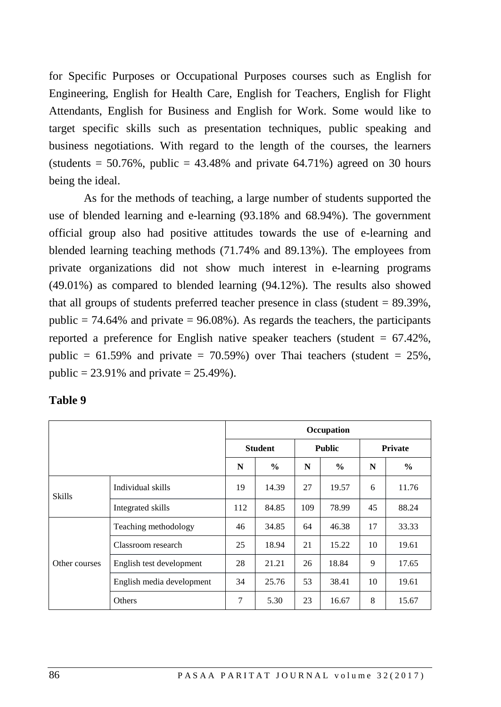for Specific Purposes or Occupational Purposes courses such as English for Engineering, English for Health Care, English for Teachers, English for Flight Attendants, English for Business and English for Work. Some would like to target specific skills such as presentation techniques, public speaking and business negotiations. With regard to the length of the courses, the learners (students =  $50.76\%$ , public =  $43.48\%$  and private  $64.71\%$ ) agreed on 30 hours being the ideal.

As for the methods of teaching, a large number of students supported the use of blended learning and e-learning (93.18% and 68.94%). The government official group also had positive attitudes towards the use of e-learning and blended learning teaching methods (71.74% and 89.13%). The employees from private organizations did not show much interest in e-learning programs (49.01%) as compared to blended learning (94.12%). The results also showed that all groups of students preferred teacher presence in class (student = 89.39%, public  $= 74.64\%$  and private  $= 96.08\%$ ). As regards the teachers, the participants reported a preference for English native speaker teachers (student = 67.42%, public =  $61.59\%$  and private =  $70.59\%$ ) over Thai teachers (student =  $25\%$ , public =  $23.91\%$  and private =  $25.49\%$ ).

| anı<br>۱e |  |
|-----------|--|
|-----------|--|

|               |                           | Occupation     |               |               |               |    |                |
|---------------|---------------------------|----------------|---------------|---------------|---------------|----|----------------|
|               |                           | <b>Student</b> |               | <b>Public</b> |               |    | <b>Private</b> |
|               |                           | N              | $\frac{0}{0}$ | N             | $\frac{0}{0}$ | N  | $\frac{0}{0}$  |
| <b>Skills</b> | Individual skills         | 19             | 14.39         | 27            | 19.57         | 6  | 11.76          |
|               | Integrated skills         | 112            | 84.85         | 109           | 78.99         | 45 | 88.24          |
|               | Teaching methodology      | 46             | 34.85         | 64            | 46.38         | 17 | 33.33          |
|               | Classroom research        | 25             | 18.94         | 21            | 15.22         | 10 | 19.61          |
| Other courses | English test development  | 28             | 21.21         | 26            | 18.84         | 9  | 17.65          |
|               | English media development | 34             | 25.76         | 53            | 38.41         | 10 | 19.61          |
|               | Others                    | 7              | 5.30          | 23            | 16.67         | 8  | 15.67          |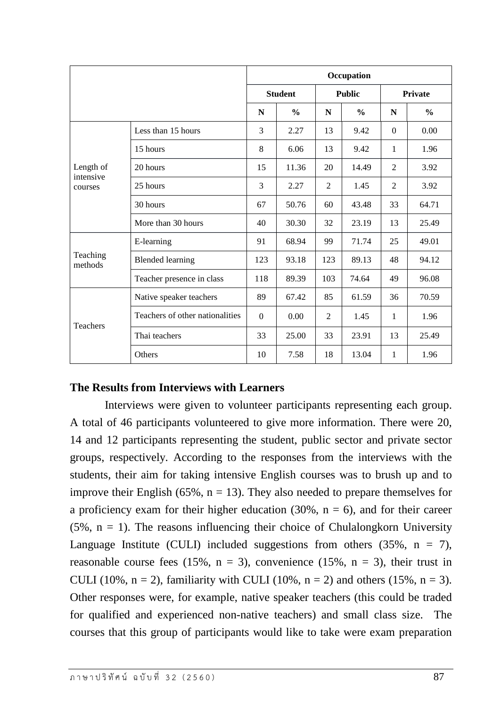|                        |                                 | Occupation                      |               |     |               |                |               |
|------------------------|---------------------------------|---------------------------------|---------------|-----|---------------|----------------|---------------|
|                        |                                 | <b>Student</b><br><b>Public</b> |               |     |               | <b>Private</b> |               |
|                        |                                 | N                               | $\frac{0}{0}$ | N   | $\frac{0}{0}$ | N              | $\frac{0}{0}$ |
|                        | Less than 15 hours              | 3                               | 2.27          | 13  | 9.42          | $\Omega$       | 0.00          |
|                        | 15 hours                        | 8                               | 6.06          | 13  | 9.42          | 1              | 1.96          |
| Length of<br>intensive | 20 hours                        | 15                              | 11.36         | 20  | 14.49         | 2              | 3.92          |
| courses                | 25 hours                        | 3                               | 2.27          | 2   | 1.45          | 2              | 3.92          |
|                        | 30 hours                        | 67                              | 50.76         | 60  | 43.48         | 33             | 64.71         |
|                        | More than 30 hours              | 40                              | 30.30         | 32  | 23.19         | 13             | 25.49         |
|                        | E-learning                      | 91                              | 68.94         | 99  | 71.74         | 25             | 49.01         |
| Teaching<br>methods    | <b>Blended learning</b>         | 123                             | 93.18         | 123 | 89.13         | 48             | 94.12         |
|                        | Teacher presence in class       | 118                             | 89.39         | 103 | 74.64         | 49             | 96.08         |
|                        | Native speaker teachers         | 89                              | 67.42         | 85  | 61.59         | 36             | 70.59         |
| Teachers               | Teachers of other nationalities | $\Omega$                        | 0.00          | 2   | 1.45          | 1              | 1.96          |
|                        | Thai teachers                   | 33                              | 25.00         | 33  | 23.91         | 13             | 25.49         |
|                        | Others                          | 10                              | 7.58          | 18  | 13.04         | 1              | 1.96          |

# **The Results from Interviews with Learners**

Interviews were given to volunteer participants representing each group. A total of 46 participants volunteered to give more information. There were 20, 14 and 12 participants representing the student, public sector and private sector groups, respectively. According to the responses from the interviews with the students, their aim for taking intensive English courses was to brush up and to improve their English (65%,  $n = 13$ ). They also needed to prepare themselves for a proficiency exam for their higher education  $(30\%, n = 6)$ , and for their career  $(5\% , n = 1)$ . The reasons influencing their choice of Chulalongkorn University Language Institute (CULI) included suggestions from others  $(35\%, n = 7)$ , reasonable course fees (15%,  $n = 3$ ), convenience (15%,  $n = 3$ ), their trust in CULI (10%,  $n = 2$ ), familiarity with CULI (10%,  $n = 2$ ) and others (15%,  $n = 3$ ). Other responses were, for example, native speaker teachers (this could be traded for qualified and experienced non-native teachers) and small class size. The courses that this group of participants would like to take were exam preparation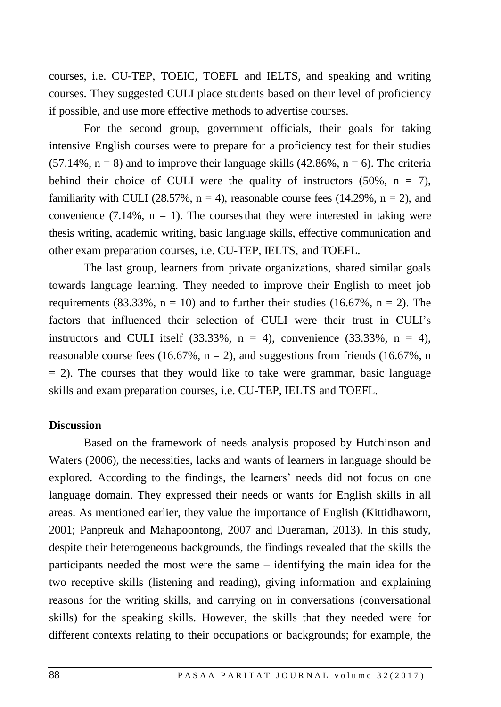courses, i.e. CU-TEP, TOEIC, TOEFL and IELTS, and speaking and writing courses. They suggested CULI place students based on their level of proficiency if possible, and use more effective methods to advertise courses.

For the second group, government officials, their goals for taking intensive English courses were to prepare for a proficiency test for their studies  $(57.14\%, n = 8)$  and to improve their language skills  $(42.86\%, n = 6)$ . The criteria behind their choice of CULI were the quality of instructors  $(50\%), n = 7$ , familiarity with CULI (28.57%,  $n = 4$ ), reasonable course fees (14.29%,  $n = 2$ ), and convenience (7.14%,  $n = 1$ ). The courses that they were interested in taking were thesis writing, academic writing, basic language skills, effective communication and other exam preparation courses, i.e. CU-TEP, IELTS, and TOEFL.

The last group, learners from private organizations, shared similar goals towards language learning. They needed to improve their English to meet job requirements (83.33%,  $n = 10$ ) and to further their studies (16.67%,  $n = 2$ ). The factors that influenced their selection of CULI were their trust in CULI's instructors and CULI itself  $(33.33\%, n = 4)$ , convenience  $(33.33\%, n = 4)$ , reasonable course fees (16.67%,  $n = 2$ ), and suggestions from friends (16.67%, n  $= 2$ ). The courses that they would like to take were grammar, basic language skills and exam preparation courses, i.e. CU-TEP, IELTS and TOEFL.

#### **Discussion**

Based on the framework of needs analysis proposed by Hutchinson and Waters (2006), the necessities, lacks and wants of learners in language should be explored. According to the findings, the learners' needs did not focus on one language domain. They expressed their needs or wants for English skills in all areas. As mentioned earlier, they value the importance of English (Kittidhaworn, 2001; Panpreuk and Mahapoontong, 2007 and Dueraman, 2013). In this study, despite their heterogeneous backgrounds, the findings revealed that the skills the participants needed the most were the same – identifying the main idea for the two receptive skills (listening and reading), giving information and explaining reasons for the writing skills, and carrying on in conversations (conversational skills) for the speaking skills. However, the skills that they needed were for different contexts relating to their occupations or backgrounds; for example, the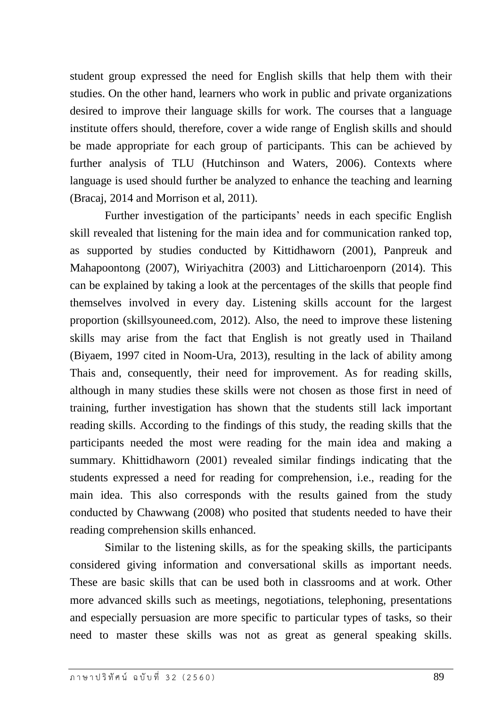student group expressed the need for English skills that help them with their studies. On the other hand, learners who work in public and private organizations desired to improve their language skills for work. The courses that a language institute offers should, therefore, cover a wide range of English skills and should be made appropriate for each group of participants. This can be achieved by further analysis of TLU (Hutchinson and Waters, 2006). Contexts where language is used should further be analyzed to enhance the teaching and learning (Bracaj, 2014 and Morrison et al, 2011).

Further investigation of the participants' needs in each specific English skill revealed that listening for the main idea and for communication ranked top, as supported by studies conducted by Kittidhaworn (2001), Panpreuk and Mahapoontong (2007), Wiriyachitra (2003) and Litticharoenporn (2014). This can be explained by taking a look at the percentages of the skills that people find themselves involved in every day. Listening skills account for the largest proportion (skillsyouneed.com, 2012). Also, the need to improve these listening skills may arise from the fact that English is not greatly used in Thailand (Biyaem, 1997 cited in Noom-Ura, 2013), resulting in the lack of ability among Thais and, consequently, their need for improvement. As for reading skills, although in many studies these skills were not chosen as those first in need of training, further investigation has shown that the students still lack important reading skills. According to the findings of this study, the reading skills that the participants needed the most were reading for the main idea and making a summary. Khittidhaworn (2001) revealed similar findings indicating that the students expressed a need for reading for comprehension, i.e., reading for the main idea. This also corresponds with the results gained from the study conducted by Chawwang (2008) who posited that students needed to have their reading comprehension skills enhanced.

Similar to the listening skills, as for the speaking skills, the participants considered giving information and conversational skills as important needs. These are basic skills that can be used both in classrooms and at work. Other more advanced skills such as meetings, negotiations, telephoning, presentations and especially persuasion are more specific to particular types of tasks, so their need to master these skills was not as great as general speaking skills.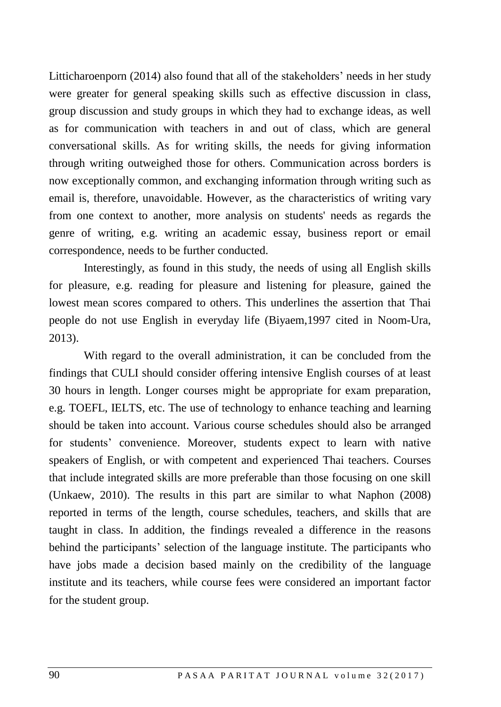Litticharoenporn (2014) also found that all of the stakeholders' needs in her study were greater for general speaking skills such as effective discussion in class, group discussion and study groups in which they had to exchange ideas, as well as for communication with teachers in and out of class, which are general conversational skills. As for writing skills, the needs for giving information through writing outweighed those for others. Communication across borders is now exceptionally common, and exchanging information through writing such as email is, therefore, unavoidable. However, as the characteristics of writing vary from one context to another, more analysis on students' needs as regards the genre of writing, e.g. writing an academic essay, business report or email correspondence, needs to be further conducted.

Interestingly, as found in this study, the needs of using all English skills for pleasure, e.g. reading for pleasure and listening for pleasure, gained the lowest mean scores compared to others. This underlines the assertion that Thai people do not use English in everyday life (Biyaem,1997 cited in Noom-Ura, 2013).

With regard to the overall administration, it can be concluded from the findings that CULI should consider offering intensive English courses of at least 30 hours in length. Longer courses might be appropriate for exam preparation, e.g. TOEFL, IELTS, etc. The use of technology to enhance teaching and learning should be taken into account. Various course schedules should also be arranged for students' convenience. Moreover, students expect to learn with native speakers of English, or with competent and experienced Thai teachers. Courses that include integrated skills are more preferable than those focusing on one skill (Unkaew, 2010). The results in this part are similar to what Naphon (2008) reported in terms of the length, course schedules, teachers, and skills that are taught in class. In addition, the findings revealed a difference in the reasons behind the participants' selection of the language institute. The participants who have jobs made a decision based mainly on the credibility of the language institute and its teachers, while course fees were considered an important factor for the student group.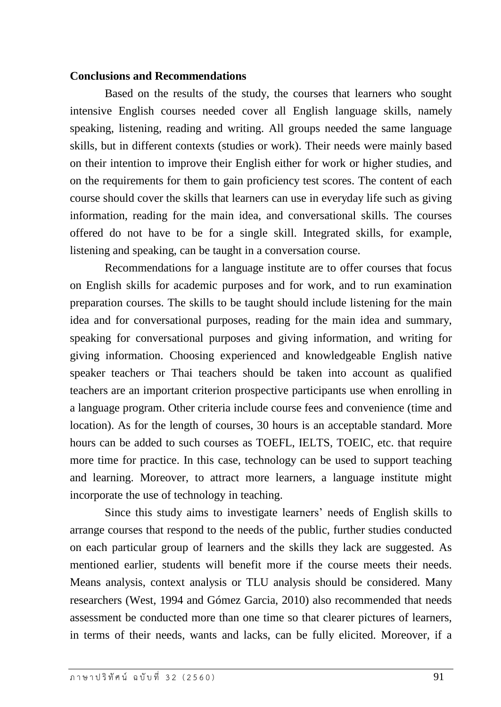#### **Conclusions and Recommendations**

Based on the results of the study, the courses that learners who sought intensive English courses needed cover all English language skills, namely speaking, listening, reading and writing. All groups needed the same language skills, but in different contexts (studies or work). Their needs were mainly based on their intention to improve their English either for work or higher studies, and on the requirements for them to gain proficiency test scores. The content of each course should cover the skills that learners can use in everyday life such as giving information, reading for the main idea, and conversational skills. The courses offered do not have to be for a single skill. Integrated skills, for example, listening and speaking, can be taught in a conversation course.

Recommendations for a language institute are to offer courses that focus on English skills for academic purposes and for work, and to run examination preparation courses. The skills to be taught should include listening for the main idea and for conversational purposes, reading for the main idea and summary, speaking for conversational purposes and giving information, and writing for giving information. Choosing experienced and knowledgeable English native speaker teachers or Thai teachers should be taken into account as qualified teachers are an important criterion prospective participants use when enrolling in a language program. Other criteria include course fees and convenience (time and location). As for the length of courses, 30 hours is an acceptable standard. More hours can be added to such courses as TOEFL, IELTS, TOEIC, etc. that require more time for practice. In this case, technology can be used to support teaching and learning. Moreover, to attract more learners, a language institute might incorporate the use of technology in teaching.

Since this study aims to investigate learners' needs of English skills to arrange courses that respond to the needs of the public, further studies conducted on each particular group of learners and the skills they lack are suggested. As mentioned earlier, students will benefit more if the course meets their needs. Means analysis, context analysis or TLU analysis should be considered. Many researchers (West, 1994 and Gómez Garcia, 2010) also recommended that needs assessment be conducted more than one time so that clearer pictures of learners, in terms of their needs, wants and lacks, can be fully elicited. Moreover, if a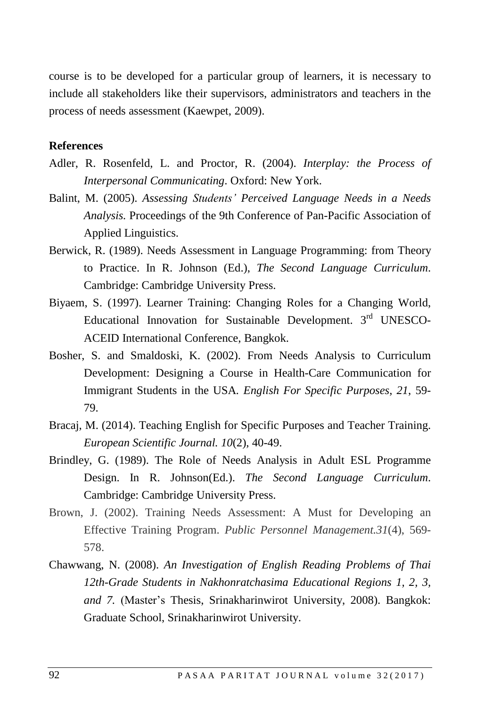course is to be developed for a particular group of learners, it is necessary to include all stakeholders like their supervisors, administrators and teachers in the process of needs assessment (Kaewpet, 2009).

#### **References**

- Adler, R. Rosenfeld, L. and Proctor, R. (2004). *Interplay: the Process of Interpersonal Communicating*. Oxford: New York.
- Balint, M. (2005). *Assessing Students' Perceived Language Needs in a Needs Analysis.* Proceedings of the 9th Conference of Pan-Pacific Association of Applied Linguistics.
- Berwick, R. (1989). Needs Assessment in Language Programming: from Theory to Practice. In R. Johnson (Ed.), *The Second Language Curriculum*. Cambridge: Cambridge University Press.
- Biyaem, S. (1997). Learner Training: Changing Roles for a Changing World, Educational Innovation for Sustainable Development. 3rd UNESCO-ACEID International Conference, Bangkok.
- Bosher, S. and Smaldoski, K. (2002). From Needs Analysis to Curriculum Development: Designing a Course in Health-Care Communication for Immigrant Students in the USA*. English For Specific Purposes*, *21*, 59- 79.
- Bracaj, M. (2014). Teaching English for Specific Purposes and Teacher Training. *European Scientific Journal. 10*(2), 40-49.
- Brindley, G. (1989). The Role of Needs Analysis in Adult ESL Programme Design. In R. Johnson(Ed.). *The Second Language Curriculum*. Cambridge: Cambridge University Press.
- Brown, J. (2002). Training Needs Assessment: A Must for Developing an Effective Training Program. *Public Personnel Management.31*(4), 569- 578.
- Chawwang, N. (2008). *An Investigation of English Reading Problems of Thai 12th-Grade Students in Nakhonratchasima Educational Regions 1, 2, 3, and 7.* (Master's Thesis, Srinakharinwirot University, 2008). Bangkok: Graduate School, Srinakharinwirot University.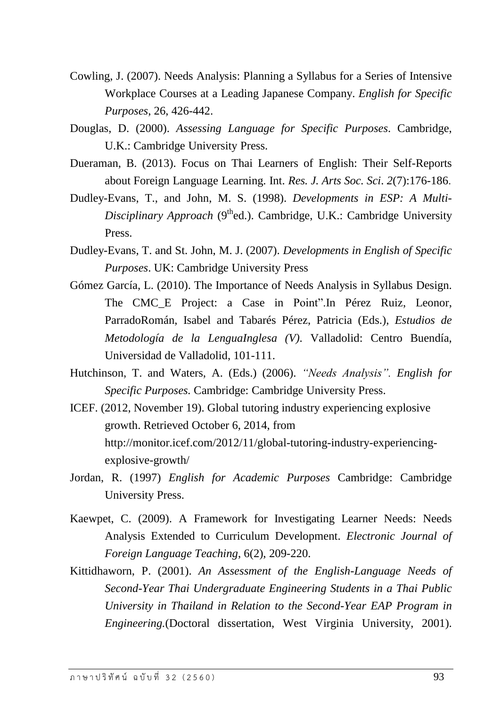- Cowling, J. (2007). Needs Analysis: Planning a Syllabus for a Series of Intensive Workplace Courses at a Leading Japanese Company. *English for Specific Purposes*, 26, 426-442.
- Douglas, D. (2000). *Assessing Language for Specific Purposes*. Cambridge, U.K.: Cambridge University Press.
- Dueraman, B. (2013). Focus on Thai Learners of English: Their Self-Reports about Foreign Language Learning. Int. *Res. J. Arts Soc. Sci*. *2*(7):176-186.
- Dudley-Evans, T., and John, M. S. (1998). *Developments in ESP: A Multi-Disciplinary Approach* (9<sup>th</sup>ed.). Cambridge, U.K.: Cambridge University Press.
- Dudley-Evans, T. and St. John, M. J. (2007). *Developments in English of Specific Purposes*. UK: Cambridge University Press
- Gómez García, L. (2010). The Importance of Needs Analysis in Syllabus Design. The CMC\_E Project: a Case in Point".In Pérez Ruiz, Leonor, ParradoRomán, Isabel and Tabarés Pérez, Patricia (Eds.), *Estudios de Metodología de la LenguaInglesa (V)*. Valladolid: Centro Buendía, Universidad de Valladolid, 101-111.
- Hutchinson, T. and Waters, A. (Eds.) (2006). *"Needs Analysis". English for Specific Purposes.* Cambridge: Cambridge University Press.
- ICEF. (2012, November 19). Global tutoring industry experiencing explosive growth. Retrieved October 6, 2014, from [http://monitor.icef.com/2012/11/global-tutoring-industry-experiencing](http://monitor.icef.com/2012/11/global-tutoring-industry-experiencing-explosive-growth/)[explosive-growth/](http://monitor.icef.com/2012/11/global-tutoring-industry-experiencing-explosive-growth/)
- Jordan, R. (1997) *English for Academic Purposes* Cambridge: Cambridge University Press.
- Kaewpet, C. (2009). A Framework for Investigating Learner Needs: Needs Analysis Extended to Curriculum Development. *Electronic Journal of Foreign Language Teaching*, 6(2), 209-220.
- Kittidhaworn, P. (2001). *An Assessment of the English-Language Needs of Second-Year Thai Undergraduate Engineering Students in a Thai Public University in Thailand in Relation to the Second-Year EAP Program in Engineering.*(Doctoral dissertation, West Virginia University, 2001).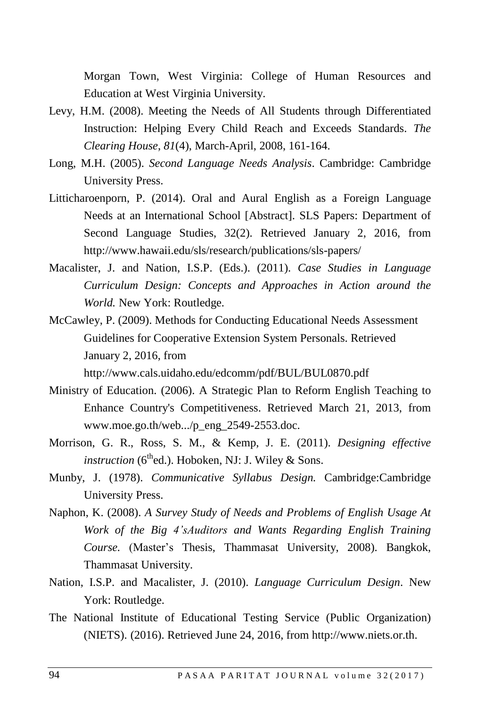Morgan Town, West Virginia: College of Human Resources and Education at West Virginia University.

- Levy, H.M. (2008). Meeting the Needs of All Students through Differentiated Instruction: Helping Every Child Reach and Exceeds Standards. *The Clearing House*, *81*(4), March-April, 2008, 161-164.
- Long, M.H. (2005). *Second Language Needs Analysis*. Cambridge: Cambridge University Press.
- Litticharoenporn, P. (2014). Oral and Aural English as a Foreign Language Needs at an International School [Abstract]. SLS Papers: Department of Second Language Studies, 32(2). Retrieved January 2, 2016, from <http://www.hawaii.edu/sls/research/publications/sls-papers/>
- Macalister, J. and Nation, I.S.P. (Eds.). (2011). *Case Studies in Language Curriculum Design: Concepts and Approaches in Action around the World.* New York: Routledge.
- McCawley, P. (2009). Methods for Conducting Educational Needs Assessment Guidelines for Cooperative Extension System Personals. Retrieved January 2, 2016, from http://www.cals.uidaho.edu/edcomm/pdf/BUL/BUL0870.pdf
- Ministry of Education. (2006). A Strategic Plan to Reform English Teaching to Enhance Country's Competitiveness. Retrieved March 21, 2013, from www.moe.go.th/web.../p\_eng\_2549-2553.doc.
- Morrison, G. R., Ross, S. M., & Kemp, J. E. (2011). *Designing effective instruction* ( $6<sup>th</sup>$ ed.). Hoboken, NJ: J. Wiley & Sons.
- Munby, J. (1978). *Communicative Syllabus Design.* Cambridge:Cambridge University Press.
- Naphon, K. (2008). *A Survey Study of Needs and Problems of English Usage At Work of the Big 4'sAuditors and Wants Regarding English Training Course.* (Master's Thesis, Thammasat University, 2008). Bangkok, Thammasat University.
- Nation, I.S.P. and Macalister, J. (2010). *Language Curriculum Design*. New York: Routledge.
- The National Institute of Educational Testing Service (Public Organization) (NIETS). (2016). Retrieved June 24, 2016, from http://www.niets.or.th.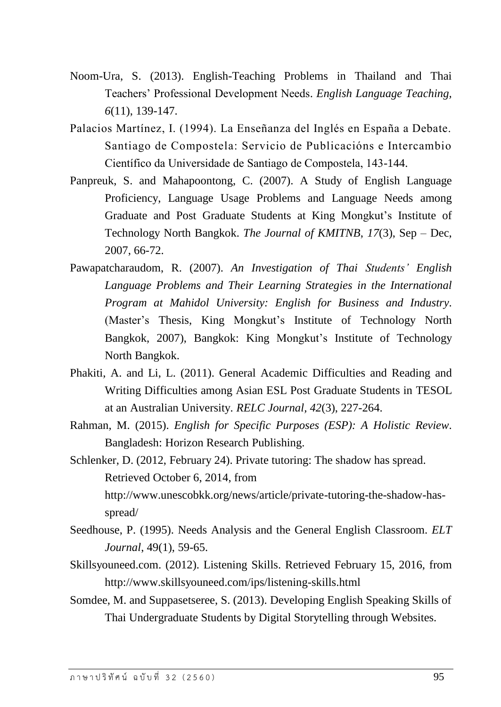- Noom-Ura, S. (2013). English-Teaching Problems in Thailand and Thai Teachers' Professional Development Needs. *English Language Teaching, 6*(11), 139-147.
- Palacios Martínez, I. (1994). La Enseñanza del Inglés en España a Debate. Santiago de Compostela: Servicio de Publicacións e Intercambio Científico da Universidade de Santiago de Compostela, 143-144.
- Panpreuk, S. and Mahapoontong, C. (2007). A Study of English Language Proficiency, Language Usage Problems and Language Needs among Graduate and Post Graduate Students at King Mongkut's Institute of Technology North Bangkok. *The Journal of KMITNB*, *17*(3), Sep – Dec, 2007, 66-72.
- Pawapatcharaudom, R. (2007). *An Investigation of Thai Students' English Language Problems and Their Learning Strategies in the International Program at Mahidol University: English for Business and Industry*. (Master's Thesis, King Mongkut's Institute of Technology North Bangkok, 2007), Bangkok: King Mongkut's Institute of Technology North Bangkok.
- Phakiti, A. and Li, L. (2011). General Academic Difficulties and Reading and Writing Difficulties among Asian ESL Post Graduate Students in TESOL at an Australian University. *RELC Journal, 42*(3), 227-264.
- Rahman, M. (2015). *English for Specific Purposes (ESP): A Holistic Review*. Bangladesh: Horizon Research Publishing.

Schlenker, D. (2012, February 24). Private tutoring: The shadow has spread. Retrieved October 6, 2014, from [http://www.unescobkk.org/news/article/private-tutoring-the-shadow-has](http://www.unescobkk.org/news/article/private-tutoring-the-shadow-has-spread/)[spread/](http://www.unescobkk.org/news/article/private-tutoring-the-shadow-has-spread/)

- Seedhouse, P. (1995). Needs Analysis and the General English Classroom. *ELT Journal*, 49(1), 59-65.
- Skillsyouneed.com. (2012). Listening Skills. Retrieved February 15, 2016, from http://www.skillsyouneed.com/ips/listening-skills.html
- Somdee, M. and Suppasetseree, S. (2013). Developing English Speaking Skills of Thai Undergraduate Students by Digital Storytelling through Websites.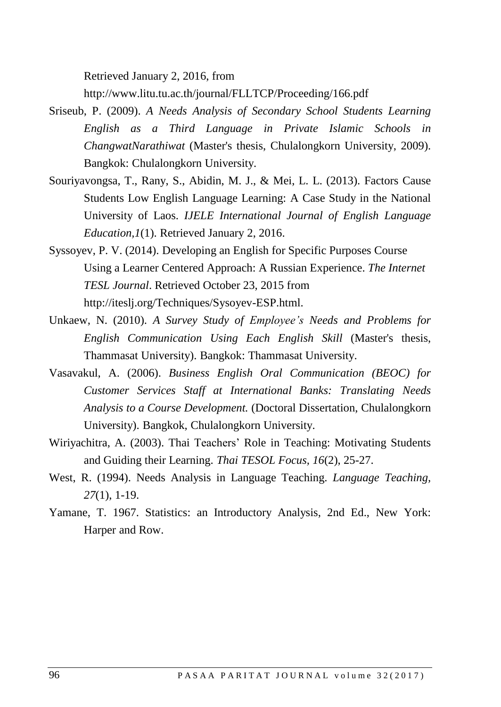Retrieved January 2, 2016, from

http://www.litu.tu.ac.th/journal/FLLTCP/Proceeding/166.pdf

- Sriseub, P. (2009). *A Needs Analysis of Secondary School Students Learning English as a Third Language in Private Islamic Schools in ChangwatNarathiwat* (Master's thesis, Chulalongkorn University, 2009). Bangkok: Chulalongkorn University.
- Souriyavongsa, T., Rany, S., Abidin, M. J., & Mei, L. L. (2013). Factors Cause Students Low English Language Learning: A Case Study in the National University of Laos. *IJELE International Journal of English Language Education,1*(1). Retrieved January 2, 2016.
- Syssoyev, P. V. (2014). Developing an English for Specific Purposes Course Using a Learner Centered Approach: A Russian Experience. *The Internet TESL Journal*. Retrieved October 23, 2015 from http://iteslj.org/Techniques/Sysoyev-ESP.html.
- Unkaew, N. (2010). *A Survey Study of Employee's Needs and Problems for English Communication Using Each English Skill* (Master's thesis, Thammasat University). Bangkok: Thammasat University.
- Vasavakul, A. (2006). *Business English Oral Communication (BEOC) for Customer Services Staff at International Banks: Translating Needs Analysis to a Course Development.* (Doctoral Dissertation, Chulalongkorn University). Bangkok, Chulalongkorn University.
- Wiriyachitra, A. (2003). Thai Teachers' Role in Teaching: Motivating Students and Guiding their Learning. *Thai TESOL Focus, 16*(2), 25-27.
- West, R. (1994). Needs Analysis in Language Teaching. *Language Teaching, 27*(1), 1-19.
- Yamane, T. 1967. Statistics: an Introductory Analysis, 2nd Ed., New York: Harper and Row.